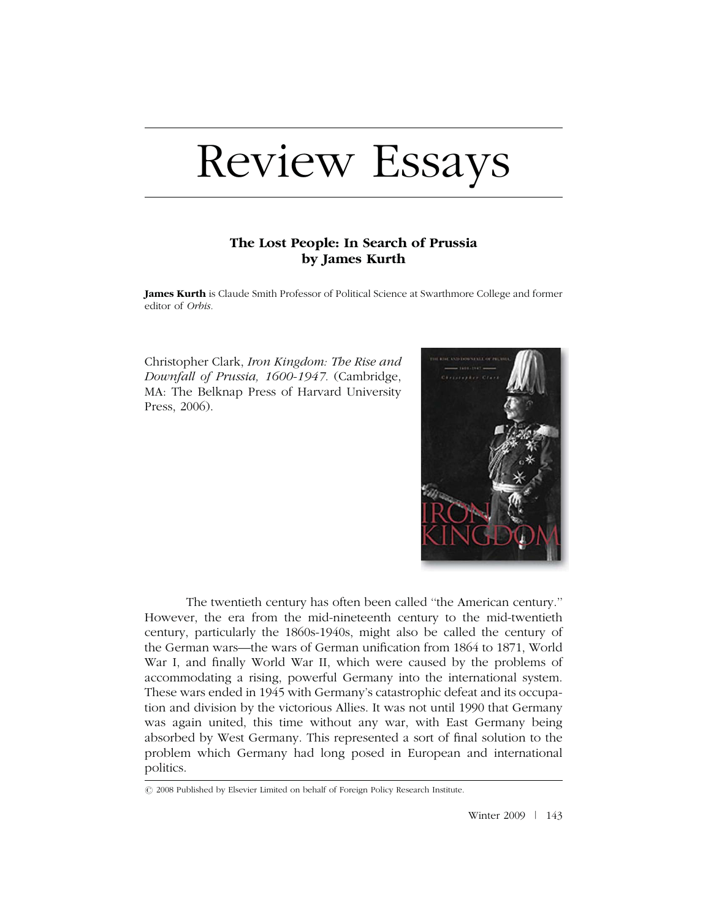# The Lost People: In Search of Prussia by James Kurth

James Kurth is Claude Smith Professor of Political Science at Swarthmore College and former editor of Orbis.

Christopher Clark, Iron Kingdom: The Rise and Downfall of Prussia, 1600-1947. (Cambridge, MA: The Belknap Press of Harvard University Press, 2006).



The twentieth century has often been called ''the American century.'' However, the era from the mid-nineteenth century to the mid-twentieth century, particularly the 1860s-1940s, might also be called the century of the German wars—the wars of German unification from 1864 to 1871, World War I, and finally World War II, which were caused by the problems of accommodating a rising, powerful Germany into the international system. These wars ended in 1945 with Germany's catastrophic defeat and its occupation and division by the victorious Allies. It was not until 1990 that Germany was again united, this time without any war, with East Germany being absorbed by West Germany. This represented a sort of final solution to the problem which Germany had long posed in European and international politics.

 $\circled{c}$  2008 Published by Elsevier Limited on behalf of Foreign Policy Research Institute.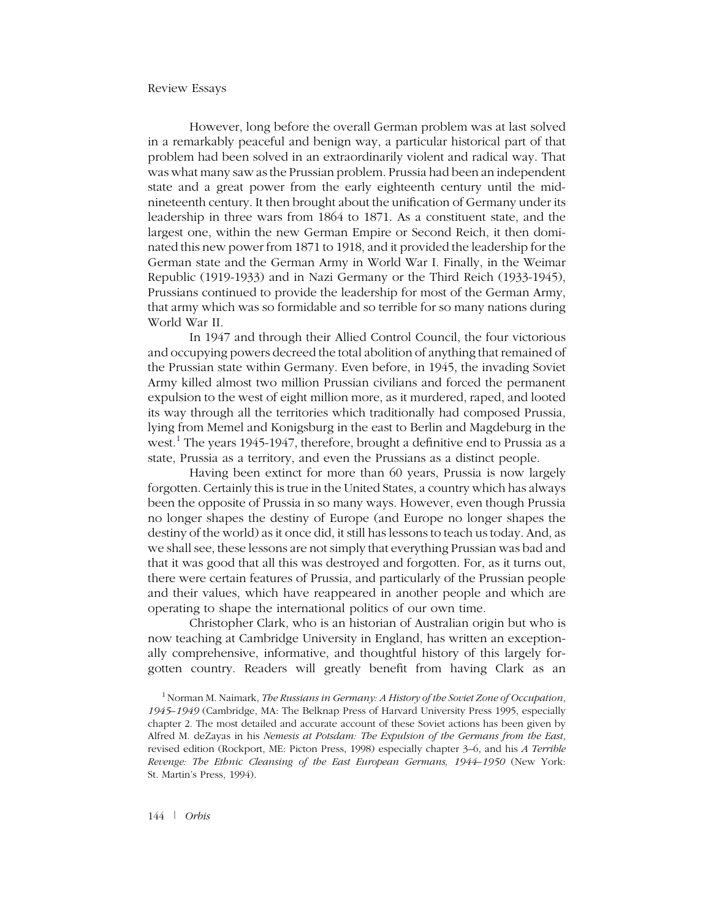However, long before the overall German problem was at last solved in a remarkably peaceful and benign way, a particular historical part of that problem had been solved in an extraordinarily violent and radical way. That was what many saw as the Prussian problem. Prussia had been an independent state and a great power from the early eighteenth century until the midnineteenth century. It then brought about the unification of Germany under its leadership in three wars from 1864 to 1871. As a constituent state, and the largest one, within the new German Empire or Second Reich, it then dominated this new power from 1871 to 1918, and it provided the leadership for the German state and the German Army in World War I. Finally, in the Weimar Republic (1919-1933) and in Nazi Germany or the Third Reich (1933-1945), Prussians continued to provide the leadership for most of the German Army, that army which was so formidable and so terrible for so many nations during World War II.

In 1947 and through their Allied Control Council, the four victorious and occupying powers decreed the total abolition of anything that remained of the Prussian state within Germany. Even before, in 1945, the invading Soviet Army killed almost two million Prussian civilians and forced the permanent expulsion to the west of eight million more, as it murdered, raped, and looted its way through all the territories which traditionally had composed Prussia, lying from Memel and Konigsburg in the east to Berlin and Magdeburg in the west.<sup>1</sup> The years 1945-1947, therefore, brought a definitive end to Prussia as a state, Prussia as a territory, and even the Prussians as a distinct people.

Having been extinct for more than 60 years, Prussia is now largely forgotten. Certainly this is true in the United States, a country which has always been the opposite of Prussia in so many ways. However, even though Prussia no longer shapes the destiny of Europe (and Europe no longer shapes the destiny of the world) as it once did, it still has lessons to teach us today. And, as we shall see, these lessons are not simply that everything Prussian was bad and that it was good that all this was destroyed and forgotten. For, as it turns out, there were certain features of Prussia, and particularly of the Prussian people and their values, which have reappeared in another people and which are operating to shape the international politics of our own time.

Christopher Clark, who is an historian of Australian origin but who is now teaching at Cambridge University in England, has written an exceptionally comprehensive, informative, and thoughtful history of this largely forgotten country. Readers will greatly benefit from having Clark as an

<sup>1</sup> Norman M. Naimark, *The Russians in Germany: A History of the Soviet Zone of Occupation*, 1945–1949 (Cambridge, MA: The Belknap Press of Harvard University Press 1995, especially chapter 2. The most detailed and accurate account of these Soviet actions has been given by Alfred M. deZayas in his Nemesis at Potsdam: The Expulsion of the Germans from the East, revised edition (Rockport, ME: Picton Press, 1998) especially chapter 3–6, and his A Terrible Revenge: The Ethnic Cleansing of the East European Germans, 1944–1950 (New York: St. Martin's Press, 1994).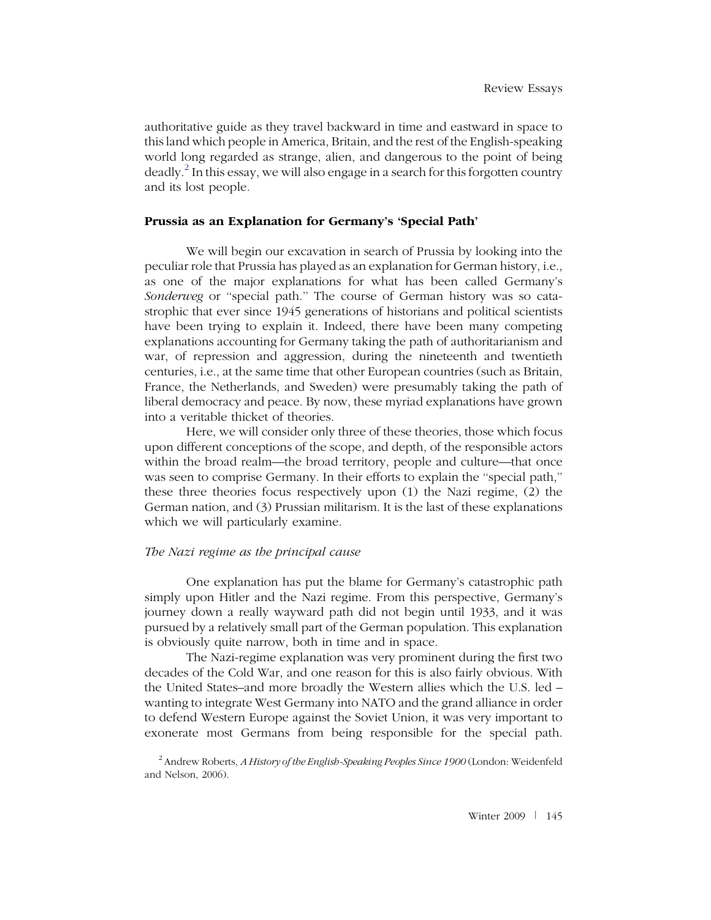authoritative guide as they travel backward in time and eastward in space to this land which people in America, Britain, and the rest of the English-speaking world long regarded as strange, alien, and dangerous to the point of being deadly.<sup>2</sup> In this essay, we will also engage in a search for this forgotten country and its lost people.

## Prussia as an Explanation for Germany's 'Special Path'

We will begin our excavation in search of Prussia by looking into the peculiar role that Prussia has played as an explanation for German history, i.e., as one of the major explanations for what has been called Germany's Sonderweg or "special path." The course of German history was so catastrophic that ever since 1945 generations of historians and political scientists have been trying to explain it. Indeed, there have been many competing explanations accounting for Germany taking the path of authoritarianism and war, of repression and aggression, during the nineteenth and twentieth centuries, i.e., at the same time that other European countries (such as Britain, France, the Netherlands, and Sweden) were presumably taking the path of liberal democracy and peace. By now, these myriad explanations have grown into a veritable thicket of theories.

Here, we will consider only three of these theories, those which focus upon different conceptions of the scope, and depth, of the responsible actors within the broad realm—the broad territory, people and culture—that once was seen to comprise Germany. In their efforts to explain the ''special path,'' these three theories focus respectively upon (1) the Nazi regime, (2) the German nation, and (3) Prussian militarism. It is the last of these explanations which we will particularly examine.

# The Nazi regime as the principal cause

One explanation has put the blame for Germany's catastrophic path simply upon Hitler and the Nazi regime. From this perspective, Germany's journey down a really wayward path did not begin until 1933, and it was pursued by a relatively small part of the German population. This explanation is obviously quite narrow, both in time and in space.

The Nazi-regime explanation was very prominent during the first two decades of the Cold War, and one reason for this is also fairly obvious. With the United States–and more broadly the Western allies which the U.S. led – wanting to integrate West Germany into NATO and the grand alliance in order to defend Western Europe against the Soviet Union, it was very important to exonerate most Germans from being responsible for the special path.

 $2$  Andrew Roberts, A History of the English-Speaking Peoples Since 1900 (London: Weidenfeld and Nelson, 2006).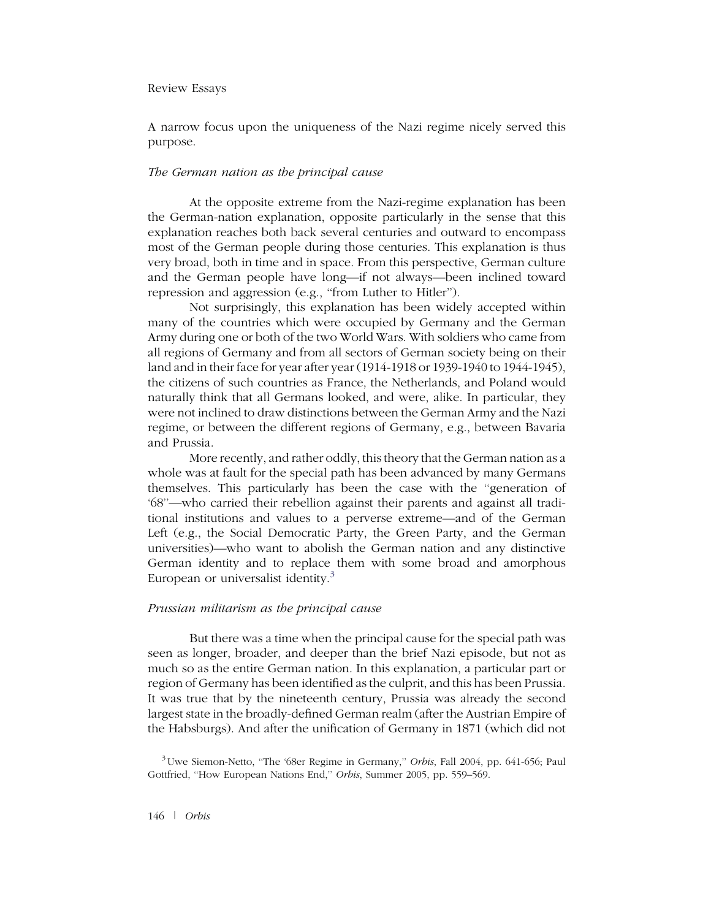A narrow focus upon the uniqueness of the Nazi regime nicely served this purpose.

# The German nation as the principal cause

At the opposite extreme from the Nazi-regime explanation has been the German-nation explanation, opposite particularly in the sense that this explanation reaches both back several centuries and outward to encompass most of the German people during those centuries. This explanation is thus very broad, both in time and in space. From this perspective, German culture and the German people have long—if not always—been inclined toward repression and aggression (e.g., ''from Luther to Hitler'').

Not surprisingly, this explanation has been widely accepted within many of the countries which were occupied by Germany and the German Army during one or both of the two World Wars. With soldiers who came from all regions of Germany and from all sectors of German society being on their land and in their face for year after year (1914-1918 or 1939-1940 to 1944-1945), the citizens of such countries as France, the Netherlands, and Poland would naturally think that all Germans looked, and were, alike. In particular, they were not inclined to draw distinctions between the German Army and the Nazi regime, or between the different regions of Germany, e.g., between Bavaria and Prussia.

More recently, and rather oddly, this theory that the German nation as a whole was at fault for the special path has been advanced by many Germans themselves. This particularly has been the case with the ''generation of '68''—who carried their rebellion against their parents and against all traditional institutions and values to a perverse extreme—and of the German Left (e.g., the Social Democratic Party, the Green Party, and the German universities)—who want to abolish the German nation and any distinctive German identity and to replace them with some broad and amorphous European or universalist identity. $3$ 

# Prussian militarism as the principal cause

But there was a time when the principal cause for the special path was seen as longer, broader, and deeper than the brief Nazi episode, but not as much so as the entire German nation. In this explanation, a particular part or region of Germany has been identified as the culprit, and this has been Prussia. It was true that by the nineteenth century, Prussia was already the second largest state in the broadly-defined German realm (after the Austrian Empire of the Habsburgs). And after the unification of Germany in 1871 (which did not

 $3$  Uwe Siemon-Netto, "The '68er Regime in Germany," Orbis, Fall 2004, pp. 641-656; Paul Gottfried, ''How European Nations End,'' Orbis, Summer 2005, pp. 559–569.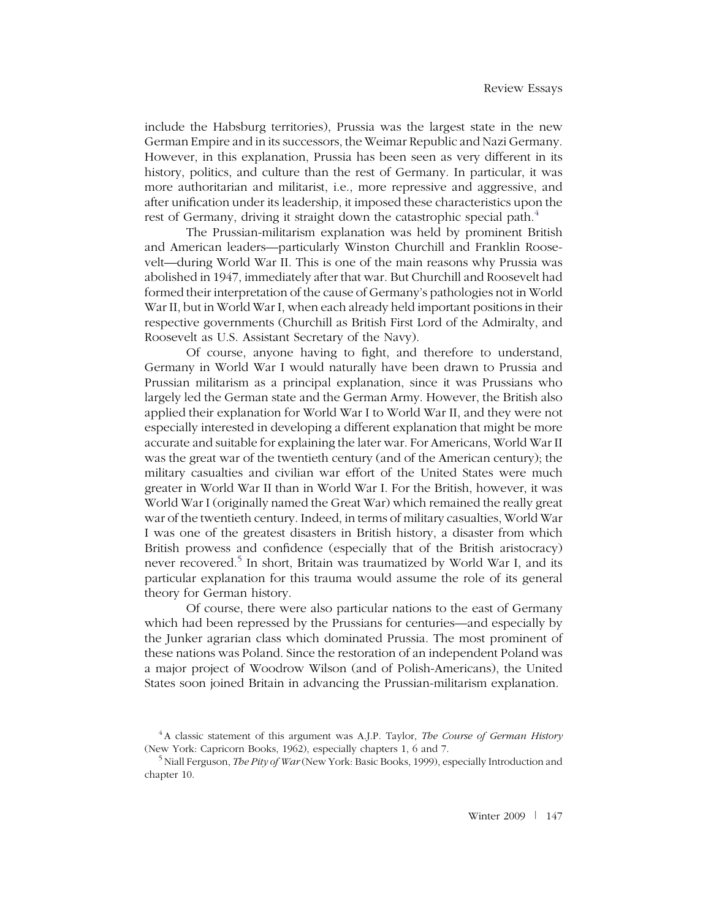include the Habsburg territories), Prussia was the largest state in the new German Empire and in its successors, the Weimar Republic and Nazi Germany. However, in this explanation, Prussia has been seen as very different in its history, politics, and culture than the rest of Germany. In particular, it was more authoritarian and militarist, i.e., more repressive and aggressive, and after unification under its leadership, it imposed these characteristics upon the rest of Germany, driving it straight down the catastrophic special path.<sup>4</sup>

The Prussian-militarism explanation was held by prominent British and American leaders—particularly Winston Churchill and Franklin Roosevelt—during World War II. This is one of the main reasons why Prussia was abolished in 1947, immediately after that war. But Churchill and Roosevelt had formed their interpretation of the cause of Germany's pathologies not in World War II, but in World War I, when each already held important positions in their respective governments (Churchill as British First Lord of the Admiralty, and Roosevelt as U.S. Assistant Secretary of the Navy).

Of course, anyone having to fight, and therefore to understand, Germany in World War I would naturally have been drawn to Prussia and Prussian militarism as a principal explanation, since it was Prussians who largely led the German state and the German Army. However, the British also applied their explanation for World War I to World War II, and they were not especially interested in developing a different explanation that might be more accurate and suitable for explaining the later war. For Americans, World War II was the great war of the twentieth century (and of the American century); the military casualties and civilian war effort of the United States were much greater in World War II than in World War I. For the British, however, it was World War I (originally named the Great War) which remained the really great war of the twentieth century. Indeed, in terms of military casualties, World War I was one of the greatest disasters in British history, a disaster from which British prowess and confidence (especially that of the British aristocracy) never recovered.<sup>5</sup> In short, Britain was traumatized by World War I, and its particular explanation for this trauma would assume the role of its general theory for German history.

Of course, there were also particular nations to the east of Germany which had been repressed by the Prussians for centuries—and especially by the Junker agrarian class which dominated Prussia. The most prominent of these nations was Poland. Since the restoration of an independent Poland was a major project of Woodrow Wilson (and of Polish-Americans), the United States soon joined Britain in advancing the Prussian-militarism explanation.

 $4A$  classic statement of this argument was A.J.P. Taylor, *The Course of German History* (New York: Capricorn Books, 1962), especially chapters 1, 6 and 7.<br><sup>5</sup> Niall Ferguson, *The Pity of War* (New York: Basic Books, 1999), especially Introduction and

chapter 10.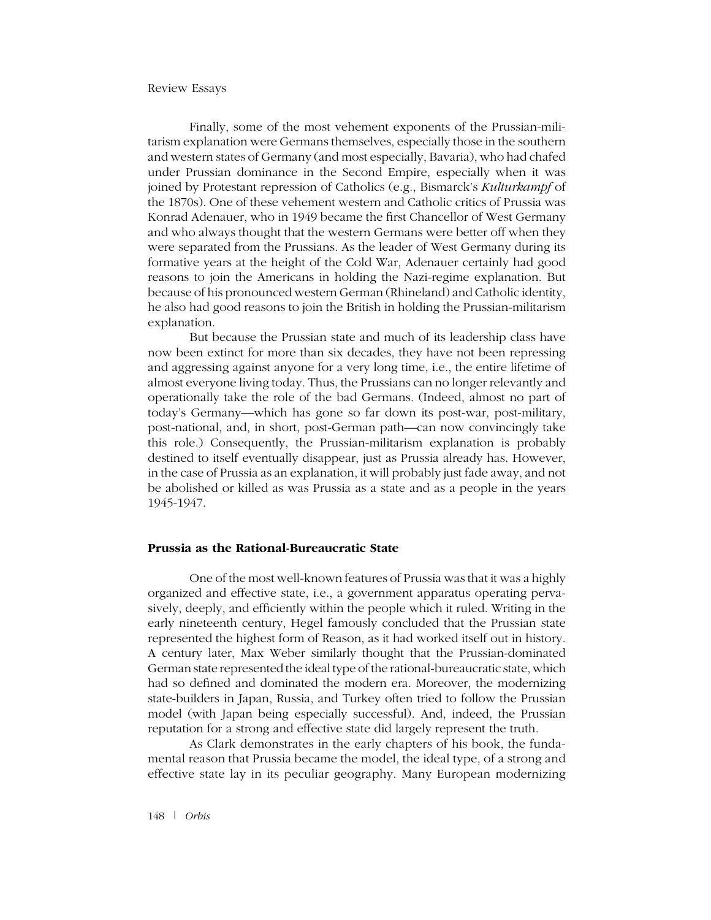Finally, some of the most vehement exponents of the Prussian-militarism explanation were Germans themselves, especially those in the southern and western states of Germany (and most especially, Bavaria), who had chafed under Prussian dominance in the Second Empire, especially when it was joined by Protestant repression of Catholics (e.g., Bismarck's Kulturkampf of the 1870s). One of these vehement western and Catholic critics of Prussia was Konrad Adenauer, who in 1949 became the first Chancellor of West Germany and who always thought that the western Germans were better off when they were separated from the Prussians. As the leader of West Germany during its formative years at the height of the Cold War, Adenauer certainly had good reasons to join the Americans in holding the Nazi-regime explanation. But because of his pronounced western German (Rhineland) and Catholic identity, he also had good reasons to join the British in holding the Prussian-militarism explanation.

But because the Prussian state and much of its leadership class have now been extinct for more than six decades, they have not been repressing and aggressing against anyone for a very long time, i.e., the entire lifetime of almost everyone living today. Thus, the Prussians can no longer relevantly and operationally take the role of the bad Germans. (Indeed, almost no part of today's Germany—which has gone so far down its post-war, post-military, post-national, and, in short, post-German path—can now convincingly take this role.) Consequently, the Prussian-militarism explanation is probably destined to itself eventually disappear, just as Prussia already has. However, in the case of Prussia as an explanation, it will probably just fade away, and not be abolished or killed as was Prussia as a state and as a people in the years 1945-1947.

## Prussia as the Rational-Bureaucratic State

One of the most well-known features of Prussia was that it was a highly organized and effective state, i.e., a government apparatus operating pervasively, deeply, and efficiently within the people which it ruled. Writing in the early nineteenth century, Hegel famously concluded that the Prussian state represented the highest form of Reason, as it had worked itself out in history. A century later, Max Weber similarly thought that the Prussian-dominated German state represented the ideal type of the rational-bureaucratic state, which had so defined and dominated the modern era. Moreover, the modernizing state-builders in Japan, Russia, and Turkey often tried to follow the Prussian model (with Japan being especially successful). And, indeed, the Prussian reputation for a strong and effective state did largely represent the truth.

As Clark demonstrates in the early chapters of his book, the fundamental reason that Prussia became the model, the ideal type, of a strong and effective state lay in its peculiar geography. Many European modernizing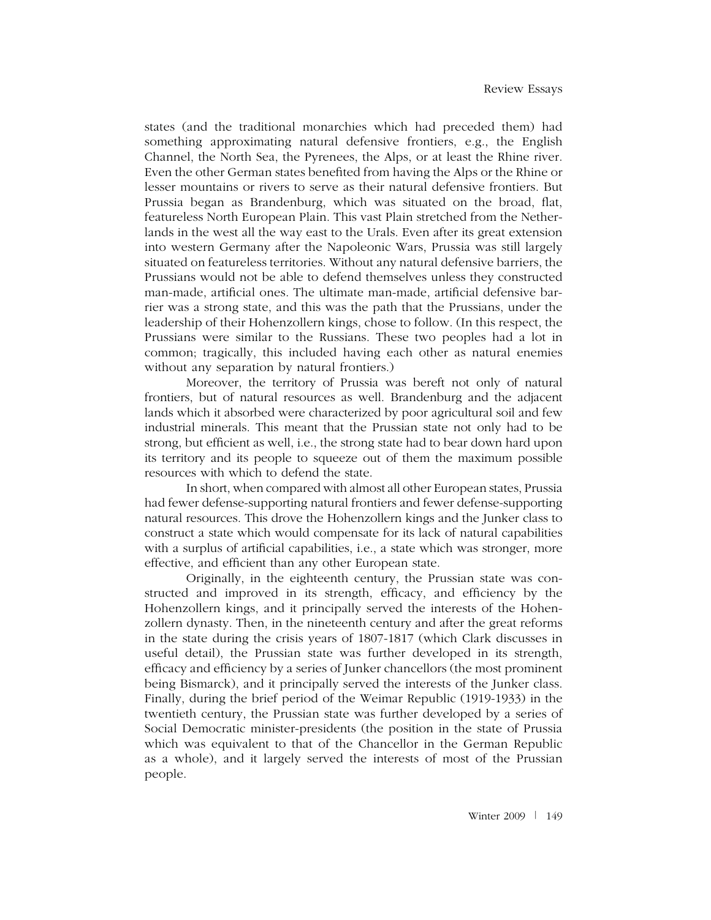states (and the traditional monarchies which had preceded them) had something approximating natural defensive frontiers, e.g., the English Channel, the North Sea, the Pyrenees, the Alps, or at least the Rhine river. Even the other German states benefited from having the Alps or the Rhine or lesser mountains or rivers to serve as their natural defensive frontiers. But Prussia began as Brandenburg, which was situated on the broad, flat, featureless North European Plain. This vast Plain stretched from the Netherlands in the west all the way east to the Urals. Even after its great extension into western Germany after the Napoleonic Wars, Prussia was still largely situated on featureless territories. Without any natural defensive barriers, the Prussians would not be able to defend themselves unless they constructed man-made, artificial ones. The ultimate man-made, artificial defensive barrier was a strong state, and this was the path that the Prussians, under the leadership of their Hohenzollern kings, chose to follow. (In this respect, the Prussians were similar to the Russians. These two peoples had a lot in common; tragically, this included having each other as natural enemies without any separation by natural frontiers.)

Moreover, the territory of Prussia was bereft not only of natural frontiers, but of natural resources as well. Brandenburg and the adjacent lands which it absorbed were characterized by poor agricultural soil and few industrial minerals. This meant that the Prussian state not only had to be strong, but efficient as well, i.e., the strong state had to bear down hard upon its territory and its people to squeeze out of them the maximum possible resources with which to defend the state.

In short, when compared with almost all other European states, Prussia had fewer defense-supporting natural frontiers and fewer defense-supporting natural resources. This drove the Hohenzollern kings and the Junker class to construct a state which would compensate for its lack of natural capabilities with a surplus of artificial capabilities, i.e., a state which was stronger, more effective, and efficient than any other European state.

Originally, in the eighteenth century, the Prussian state was constructed and improved in its strength, efficacy, and efficiency by the Hohenzollern kings, and it principally served the interests of the Hohenzollern dynasty. Then, in the nineteenth century and after the great reforms in the state during the crisis years of 1807-1817 (which Clark discusses in useful detail), the Prussian state was further developed in its strength, efficacy and efficiency by a series of Junker chancellors (the most prominent being Bismarck), and it principally served the interests of the Junker class. Finally, during the brief period of the Weimar Republic (1919-1933) in the twentieth century, the Prussian state was further developed by a series of Social Democratic minister-presidents (the position in the state of Prussia which was equivalent to that of the Chancellor in the German Republic as a whole), and it largely served the interests of most of the Prussian people.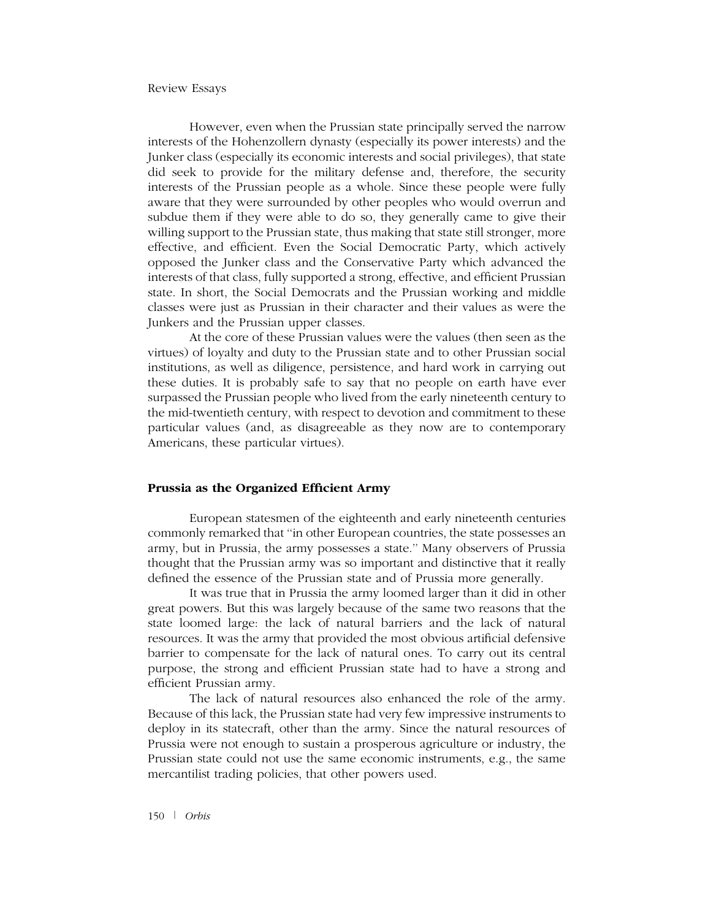However, even when the Prussian state principally served the narrow interests of the Hohenzollern dynasty (especially its power interests) and the Junker class (especially its economic interests and social privileges), that state did seek to provide for the military defense and, therefore, the security interests of the Prussian people as a whole. Since these people were fully aware that they were surrounded by other peoples who would overrun and subdue them if they were able to do so, they generally came to give their willing support to the Prussian state, thus making that state still stronger, more effective, and efficient. Even the Social Democratic Party, which actively opposed the Junker class and the Conservative Party which advanced the interests of that class, fully supported a strong, effective, and efficient Prussian state. In short, the Social Democrats and the Prussian working and middle classes were just as Prussian in their character and their values as were the Junkers and the Prussian upper classes.

At the core of these Prussian values were the values (then seen as the virtues) of loyalty and duty to the Prussian state and to other Prussian social institutions, as well as diligence, persistence, and hard work in carrying out these duties. It is probably safe to say that no people on earth have ever surpassed the Prussian people who lived from the early nineteenth century to the mid-twentieth century, with respect to devotion and commitment to these particular values (and, as disagreeable as they now are to contemporary Americans, these particular virtues).

# Prussia as the Organized Efficient Army

European statesmen of the eighteenth and early nineteenth centuries commonly remarked that ''in other European countries, the state possesses an army, but in Prussia, the army possesses a state.'' Many observers of Prussia thought that the Prussian army was so important and distinctive that it really defined the essence of the Prussian state and of Prussia more generally.

It was true that in Prussia the army loomed larger than it did in other great powers. But this was largely because of the same two reasons that the state loomed large: the lack of natural barriers and the lack of natural resources. It was the army that provided the most obvious artificial defensive barrier to compensate for the lack of natural ones. To carry out its central purpose, the strong and efficient Prussian state had to have a strong and efficient Prussian army.

The lack of natural resources also enhanced the role of the army. Because of this lack, the Prussian state had very few impressive instruments to deploy in its statecraft, other than the army. Since the natural resources of Prussia were not enough to sustain a prosperous agriculture or industry, the Prussian state could not use the same economic instruments, e.g., the same mercantilist trading policies, that other powers used.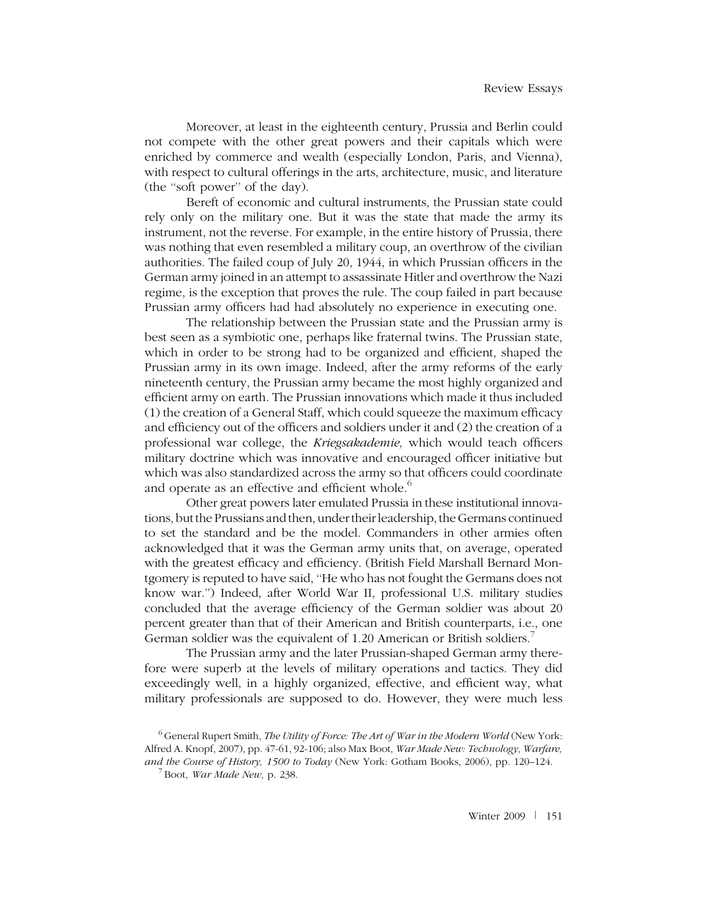Moreover, at least in the eighteenth century, Prussia and Berlin could not compete with the other great powers and their capitals which were enriched by commerce and wealth (especially London, Paris, and Vienna), with respect to cultural offerings in the arts, architecture, music, and literature (the ''soft power'' of the day).

Bereft of economic and cultural instruments, the Prussian state could rely only on the military one. But it was the state that made the army its instrument, not the reverse. For example, in the entire history of Prussia, there was nothing that even resembled a military coup, an overthrow of the civilian authorities. The failed coup of July 20, 1944, in which Prussian officers in the German army joined in an attempt to assassinate Hitler and overthrow the Nazi regime, is the exception that proves the rule. The coup failed in part because Prussian army officers had had absolutely no experience in executing one.

The relationship between the Prussian state and the Prussian army is best seen as a symbiotic one, perhaps like fraternal twins. The Prussian state, which in order to be strong had to be organized and efficient, shaped the Prussian army in its own image. Indeed, after the army reforms of the early nineteenth century, the Prussian army became the most highly organized and efficient army on earth. The Prussian innovations which made it thus included (1) the creation of a General Staff, which could squeeze the maximum efficacy and efficiency out of the officers and soldiers under it and (2) the creation of a professional war college, the Kriegsakademie, which would teach officers military doctrine which was innovative and encouraged officer initiative but which was also standardized across the army so that officers could coordinate and operate as an effective and efficient whole.<sup>6</sup>

Other great powers later emulated Prussia in these institutional innovations, but the Prussians and then, under their leadership, the Germans continued to set the standard and be the model. Commanders in other armies often acknowledged that it was the German army units that, on average, operated with the greatest efficacy and efficiency. (British Field Marshall Bernard Montgomery is reputed to have said, ''He who has not fought the Germans does not know war.'') Indeed, after World War II, professional U.S. military studies concluded that the average efficiency of the German soldier was about 20 percent greater than that of their American and British counterparts, i.e., one German soldier was the equivalent of 1.20 American or British soldiers.<sup>7</sup>

The Prussian army and the later Prussian-shaped German army therefore were superb at the levels of military operations and tactics. They did exceedingly well, in a highly organized, effective, and efficient way, what military professionals are supposed to do. However, they were much less

 $6$  General Rupert Smith, *The Utility of Force: The Art of War in the Modern World* (New York: Alfred A. Knopf, 2007), pp. 47-61, 92-106; also Max Boot, War Made New: Technology, Warfare, and the Course of History, 1500 to Today (New York: Gotham Books, 2006), pp. 120–124.<br><sup>7</sup> Boot, *War Made New*, p. 238.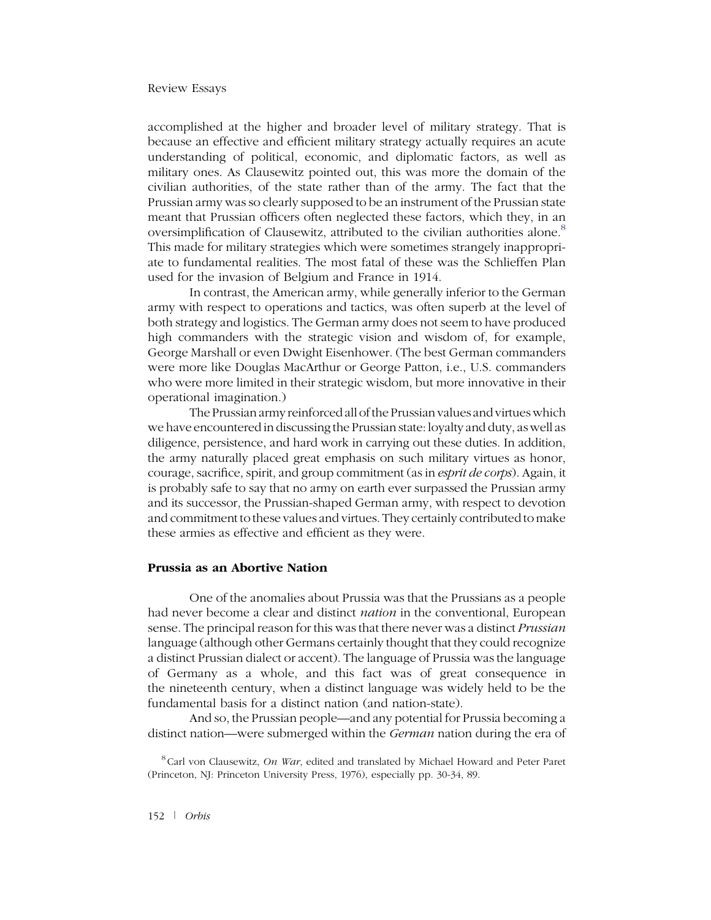accomplished at the higher and broader level of military strategy. That is because an effective and efficient military strategy actually requires an acute understanding of political, economic, and diplomatic factors, as well as military ones. As Clausewitz pointed out, this was more the domain of the civilian authorities, of the state rather than of the army. The fact that the Prussian army was so clearly supposed to be an instrument of the Prussian state meant that Prussian officers often neglected these factors, which they, in an oversimplification of Clausewitz, attributed to the civilian authorities alone.<sup>8</sup> This made for military strategies which were sometimes strangely inappropriate to fundamental realities. The most fatal of these was the Schlieffen Plan used for the invasion of Belgium and France in 1914.

In contrast, the American army, while generally inferior to the German army with respect to operations and tactics, was often superb at the level of both strategy and logistics. The German army does not seem to have produced high commanders with the strategic vision and wisdom of, for example, George Marshall or even Dwight Eisenhower. (The best German commanders were more like Douglas MacArthur or George Patton, i.e., U.S. commanders who were more limited in their strategic wisdom, but more innovative in their operational imagination.)

The Prussian army reinforced all of the Prussian values and virtues which we have encountered in discussing the Prussian state: loyalty and duty, as well as diligence, persistence, and hard work in carrying out these duties. In addition, the army naturally placed great emphasis on such military virtues as honor, courage, sacrifice, spirit, and group commitment (as in esprit de corps). Again, it is probably safe to say that no army on earth ever surpassed the Prussian army and its successor, the Prussian-shaped German army, with respect to devotion and commitment to these values and virtues. They certainly contributed to make these armies as effective and efficient as they were.

# Prussia as an Abortive Nation

One of the anomalies about Prussia was that the Prussians as a people had never become a clear and distinct nation in the conventional, European sense. The principal reason for this was that there never was a distinct *Prussian* language (although other Germans certainly thought that they could recognize a distinct Prussian dialect or accent). The language of Prussia was the language of Germany as a whole, and this fact was of great consequence in the nineteenth century, when a distinct language was widely held to be the fundamental basis for a distinct nation (and nation-state).

And so, the Prussian people—and any potential for Prussia becoming a distinct nation—were submerged within the *German* nation during the era of

 $8$  Carl von Clausewitz, On War, edited and translated by Michael Howard and Peter Paret (Princeton, NJ: Princeton University Press, 1976), especially pp. 30-34, 89.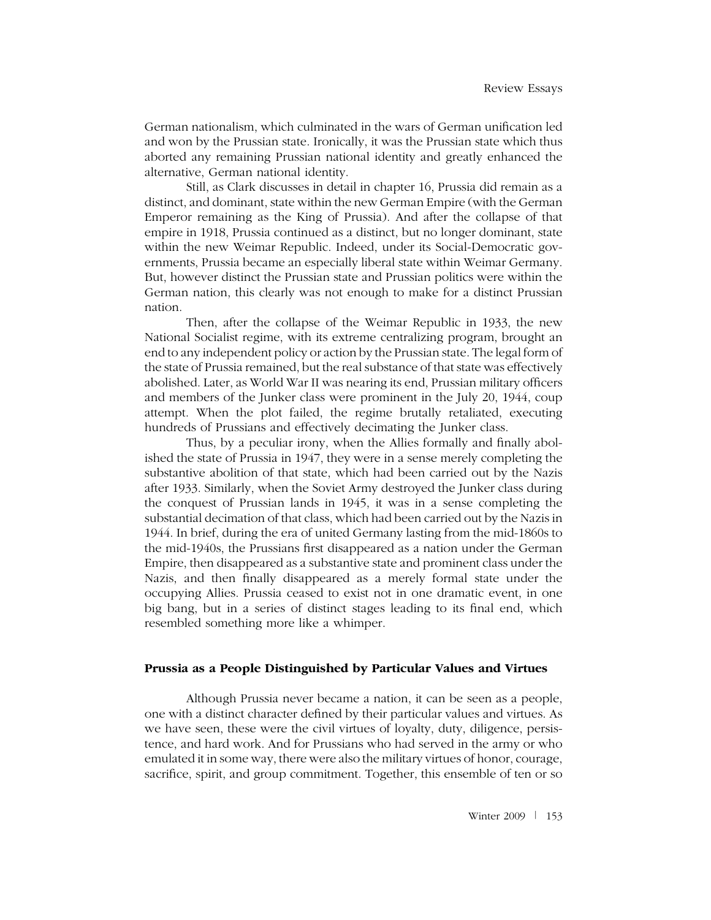German nationalism, which culminated in the wars of German unification led and won by the Prussian state. Ironically, it was the Prussian state which thus aborted any remaining Prussian national identity and greatly enhanced the alternative, German national identity.

Still, as Clark discusses in detail in chapter 16, Prussia did remain as a distinct, and dominant, state within the new German Empire (with the German Emperor remaining as the King of Prussia). And after the collapse of that empire in 1918, Prussia continued as a distinct, but no longer dominant, state within the new Weimar Republic. Indeed, under its Social-Democratic governments, Prussia became an especially liberal state within Weimar Germany. But, however distinct the Prussian state and Prussian politics were within the German nation, this clearly was not enough to make for a distinct Prussian nation.

Then, after the collapse of the Weimar Republic in 1933, the new National Socialist regime, with its extreme centralizing program, brought an end to any independent policy or action by the Prussian state. The legal form of the state of Prussia remained, but the real substance of that state was effectively abolished. Later, as World War II was nearing its end, Prussian military officers and members of the Junker class were prominent in the July 20, 1944, coup attempt. When the plot failed, the regime brutally retaliated, executing hundreds of Prussians and effectively decimating the Junker class.

Thus, by a peculiar irony, when the Allies formally and finally abolished the state of Prussia in 1947, they were in a sense merely completing the substantive abolition of that state, which had been carried out by the Nazis after 1933. Similarly, when the Soviet Army destroyed the Junker class during the conquest of Prussian lands in 1945, it was in a sense completing the substantial decimation of that class, which had been carried out by the Nazis in 1944. In brief, during the era of united Germany lasting from the mid-1860s to the mid-1940s, the Prussians first disappeared as a nation under the German Empire, then disappeared as a substantive state and prominent class under the Nazis, and then finally disappeared as a merely formal state under the occupying Allies. Prussia ceased to exist not in one dramatic event, in one big bang, but in a series of distinct stages leading to its final end, which resembled something more like a whimper.

# Prussia as a People Distinguished by Particular Values and Virtues

Although Prussia never became a nation, it can be seen as a people, one with a distinct character defined by their particular values and virtues. As we have seen, these were the civil virtues of loyalty, duty, diligence, persistence, and hard work. And for Prussians who had served in the army or who emulated it in some way, there were also the military virtues of honor, courage, sacrifice, spirit, and group commitment. Together, this ensemble of ten or so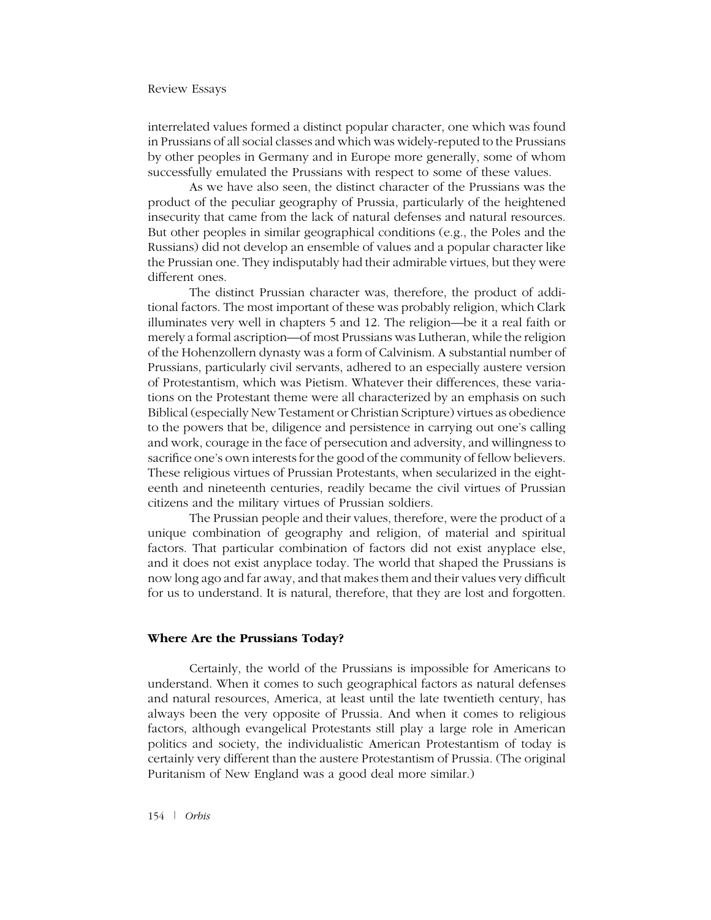interrelated values formed a distinct popular character, one which was found in Prussians of all social classes and which was widely-reputed to the Prussians by other peoples in Germany and in Europe more generally, some of whom successfully emulated the Prussians with respect to some of these values.

As we have also seen, the distinct character of the Prussians was the product of the peculiar geography of Prussia, particularly of the heightened insecurity that came from the lack of natural defenses and natural resources. But other peoples in similar geographical conditions (e.g., the Poles and the Russians) did not develop an ensemble of values and a popular character like the Prussian one. They indisputably had their admirable virtues, but they were different ones.

The distinct Prussian character was, therefore, the product of additional factors. The most important of these was probably religion, which Clark illuminates very well in chapters 5 and 12. The religion—be it a real faith or merely a formal ascription—of most Prussians was Lutheran, while the religion of the Hohenzollern dynasty was a form of Calvinism. A substantial number of Prussians, particularly civil servants, adhered to an especially austere version of Protestantism, which was Pietism. Whatever their differences, these variations on the Protestant theme were all characterized by an emphasis on such Biblical (especially New Testament or Christian Scripture) virtues as obedience to the powers that be, diligence and persistence in carrying out one's calling and work, courage in the face of persecution and adversity, and willingness to sacrifice one's own interests for the good of the community of fellow believers. These religious virtues of Prussian Protestants, when secularized in the eighteenth and nineteenth centuries, readily became the civil virtues of Prussian citizens and the military virtues of Prussian soldiers.

The Prussian people and their values, therefore, were the product of a unique combination of geography and religion, of material and spiritual factors. That particular combination of factors did not exist anyplace else, and it does not exist anyplace today. The world that shaped the Prussians is now long ago and far away, and that makes them and their values very difficult for us to understand. It is natural, therefore, that they are lost and forgotten.

# Where Are the Prussians Today?

Certainly, the world of the Prussians is impossible for Americans to understand. When it comes to such geographical factors as natural defenses and natural resources, America, at least until the late twentieth century, has always been the very opposite of Prussia. And when it comes to religious factors, although evangelical Protestants still play a large role in American politics and society, the individualistic American Protestantism of today is certainly very different than the austere Protestantism of Prussia. (The original Puritanism of New England was a good deal more similar.)